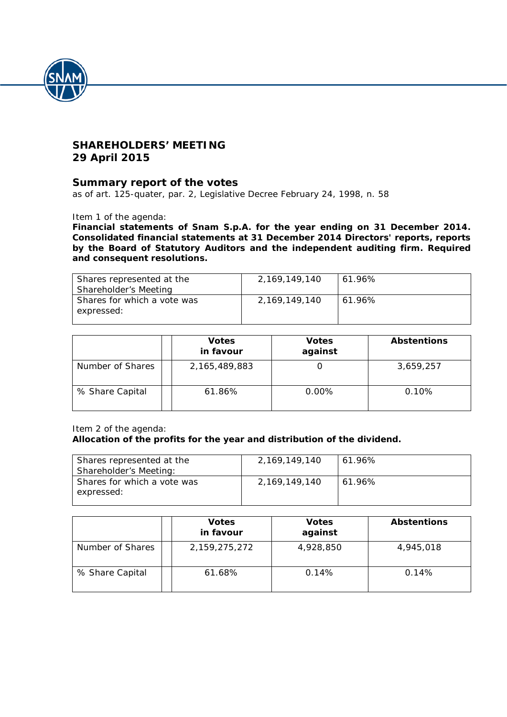

## **SHAREHOLDERS' MEETING 29 April 2015**

### **Summary report of the votes**

*as of art. 125-quater, par. 2, Legislative Decree February 24, 1998, n. 58*

Item 1 of the agenda:

**Financial statements of Snam S.p.A. for the year ending on 31 December 2014. Consolidated financial statements at 31 December 2014 Directors' reports, reports by the Board of Statutory Auditors and the independent auditing firm. Required and consequent resolutions.**

| Shares represented at the<br>Shareholder's Meeting | 2,169,149,140 | $61.96\%$ |
|----------------------------------------------------|---------------|-----------|
| Shares for which a vote was<br>expressed:          | 2,169,149,140 | 61.96%    |

|                  | <b>Votes</b><br>in favour | <b>Votes</b><br>against | <b>Abstentions</b> |
|------------------|---------------------------|-------------------------|--------------------|
| Number of Shares | 2,165,489,883             |                         | 3,659,257          |
| % Share Capital  | 61.86%                    | 0.00%                   | 0.10%              |

Item 2 of the agenda:

#### **Allocation of the profits for the year and distribution of the dividend.**

| Shares represented at the<br>Shareholder's Meeting: | 2,169,149,140 | 61.96% |
|-----------------------------------------------------|---------------|--------|
| Shares for which a vote was<br>expressed:           | 2.169.149.140 | 61.96% |

|                  | <b>Votes</b><br>in favour | <b>Votes</b><br>against | <b>Abstentions</b> |
|------------------|---------------------------|-------------------------|--------------------|
| Number of Shares | 2,159,275,272             | 4,928,850               | 4,945,018          |
| % Share Capital  | 61.68%                    | 0.14%                   | 0.14%              |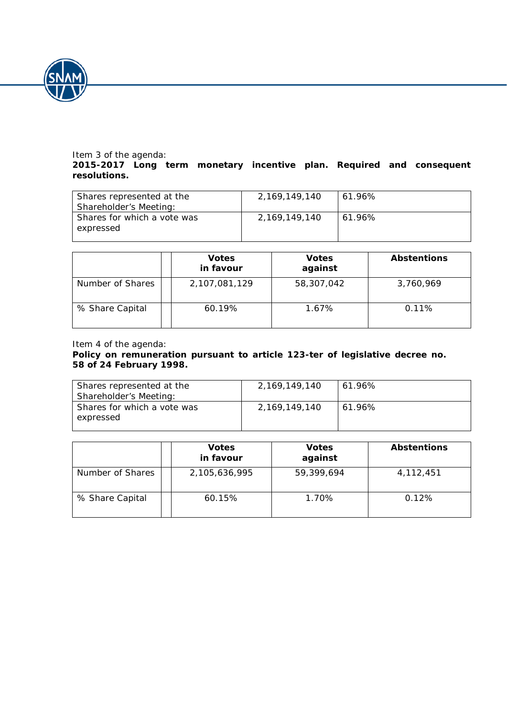

# Item 3 of the agenda:

### **2015-2017 Long term monetary incentive plan. Required and consequent resolutions.**

| Shares represented at the<br>Shareholder's Meeting: | 2,169,149,140 | 61.96% |
|-----------------------------------------------------|---------------|--------|
| Shares for which a vote was<br>expressed            | 2,169,149,140 | 61.96% |

|                  | <b>Votes</b><br>in favour | <b>Votes</b><br>against | <b>Abstentions</b> |
|------------------|---------------------------|-------------------------|--------------------|
| Number of Shares | 2,107,081,129             | 58,307,042              | 3,760,969          |
| % Share Capital  | 60.19%                    | 1.67%                   | 0.11%              |

### Item 4 of the agenda:

### **Policy on remuneration pursuant to article 123-***ter* **of legislative decree no. 58 of 24 February 1998.**

| Shares represented at the<br>Shareholder's Meeting: | 2,169,149,140 | 61.96% |
|-----------------------------------------------------|---------------|--------|
| Shares for which a vote was<br>expressed            | 2,169,149,140 | 61.96% |

|                  | <b>Votes</b><br>in favour | <b>Votes</b><br>against | <b>Abstentions</b> |
|------------------|---------------------------|-------------------------|--------------------|
| Number of Shares | 2,105,636,995             | 59,399,694              | 4,112,451          |
| % Share Capital  | 60.15%                    | 1.70%                   | 0.12%              |